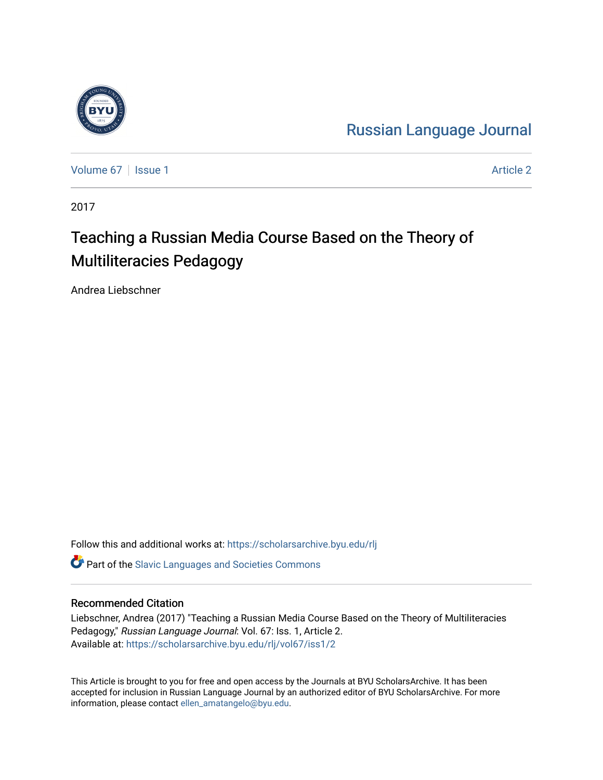

[Russian Language Journal](https://scholarsarchive.byu.edu/rlj) 

[Volume 67](https://scholarsarchive.byu.edu/rlj/vol67) | [Issue 1](https://scholarsarchive.byu.edu/rlj/vol67/iss1) Article 2

2017

# Teaching a Russian Media Course Based on the Theory of Multiliteracies Pedagogy

Andrea Liebschner

Follow this and additional works at: [https://scholarsarchive.byu.edu/rlj](https://scholarsarchive.byu.edu/rlj?utm_source=scholarsarchive.byu.edu%2Frlj%2Fvol67%2Fiss1%2F2&utm_medium=PDF&utm_campaign=PDFCoverPages)

**C** Part of the Slavic Languages and Societies Commons

#### Recommended Citation

Liebschner, Andrea (2017) "Teaching a Russian Media Course Based on the Theory of Multiliteracies Pedagogy," Russian Language Journal: Vol. 67: Iss. 1, Article 2. Available at: [https://scholarsarchive.byu.edu/rlj/vol67/iss1/2](https://scholarsarchive.byu.edu/rlj/vol67/iss1/2?utm_source=scholarsarchive.byu.edu%2Frlj%2Fvol67%2Fiss1%2F2&utm_medium=PDF&utm_campaign=PDFCoverPages) 

This Article is brought to you for free and open access by the Journals at BYU ScholarsArchive. It has been accepted for inclusion in Russian Language Journal by an authorized editor of BYU ScholarsArchive. For more information, please contact [ellen\\_amatangelo@byu.edu.](mailto:ellen_amatangelo@byu.edu)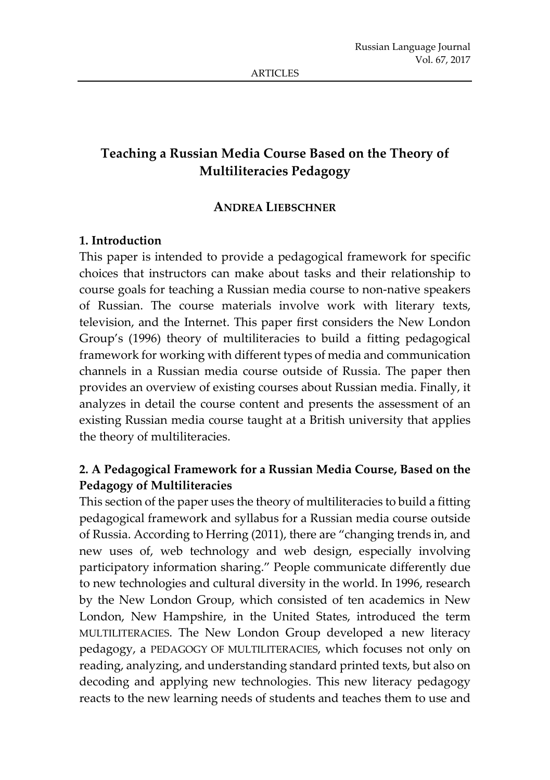# **Teaching a Russian Media Course Based on the Theory of Multiliteracies Pedagogy**

#### **ANDREA LIEBSCHNER**

### **1. Introduction**

This paper is intended to provide a pedagogical framework for specific choices that instructors can make about tasks and their relationship to course goals for teaching a Russian media course to non-native speakers of Russian. The course materials involve work with literary texts, television, and the Internet. This paper first considers the New London Group's (1996) theory of multiliteracies to build a fitting pedagogical framework for working with different types of media and communication channels in a Russian media course outside of Russia. The paper then provides an overview of existing courses about Russian media. Finally, it analyzes in detail the course content and presents the assessment of an existing Russian media course taught at a British university that applies the theory of multiliteracies.

# **2. A Pedagogical Framework for a Russian Media Course, Based on the Pedagogy of Multiliteracies**

This section of the paper uses the theory of multiliteracies to build a fitting pedagogical framework and syllabus for a Russian media course outside of Russia. According to Herring (2011), there are "changing trends in, and new uses of, web technology and web design, especially involving participatory information sharing." People communicate differently due to new technologies and cultural diversity in the world. In 1996, research by the New London Group, which consisted of ten academics in New London, New Hampshire, in the United States, introduced the term MULTILITERACIES. The New London Group developed a new literacy pedagogy, a PEDAGOGY OF MULTILITERACIES, which focuses not only on reading, analyzing, and understanding standard printed texts, but also on decoding and applying new technologies. This new literacy pedagogy reacts to the new learning needs of students and teaches them to use and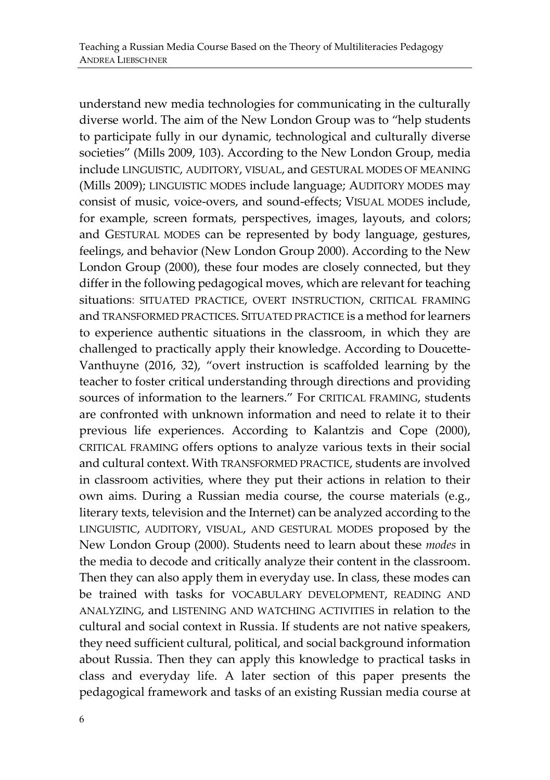understand new media technologies for communicating in the culturally diverse world. The aim of the New London Group was to "help students to participate fully in our dynamic, technological and culturally diverse societies" (Mills 2009, 103). According to the New London Group, media include LINGUISTIC, AUDITORY, VISUAL, and GESTURAL MODES OF MEANING (Mills 2009); LINGUISTIC MODES include language; AUDITORY MODES may consist of music, voice-overs, and sound-effects; VISUAL MODES include, for example, screen formats, perspectives, images, layouts, and colors; and GESTURAL MODES can be represented by body language, gestures, feelings, and behavior (New London Group 2000). According to the New London Group (2000), these four modes are closely connected, but they differ in the following pedagogical moves, which are relevant for teaching situations: SITUATED PRACTICE, OVERT INSTRUCTION, CRITICAL FRAMING and TRANSFORMED PRACTICES. SITUATED PRACTICE is a method forlearners to experience authentic situations in the classroom, in which they are challenged to practically apply their knowledge. According to Doucette-Vanthuyne (2016, 32), "overt instruction is scaffolded learning by the teacher to foster critical understanding through directions and providing sources of information to the learners." For CRITICAL FRAMING, students are confronted with unknown information and need to relate it to their previous life experiences. According to Kalantzis and Cope (2000), CRITICAL FRAMING offers options to analyze various texts in their social and cultural context. With TRANSFORMED PRACTICE, students are involved in classroom activities, where they put their actions in relation to their own aims. During a Russian media course, the course materials (e.g., literary texts, television and the Internet) can be analyzed according to the LINGUISTIC, AUDITORY, VISUAL, AND GESTURAL MODES proposed by the New London Group (2000). Students need to learn about these *modes* in the media to decode and critically analyze their content in the classroom. Then they can also apply them in everyday use. In class, these modes can be trained with tasks for VOCABULARY DEVELOPMENT, READING AND ANALYZING, and LISTENING AND WATCHING ACTIVITIES in relation to the cultural and social context in Russia. If students are not native speakers, they need sufficient cultural, political, and social background information about Russia. Then they can apply this knowledge to practical tasks in class and everyday life. A later section of this paper presents the pedagogical framework and tasks of an existing Russian media course at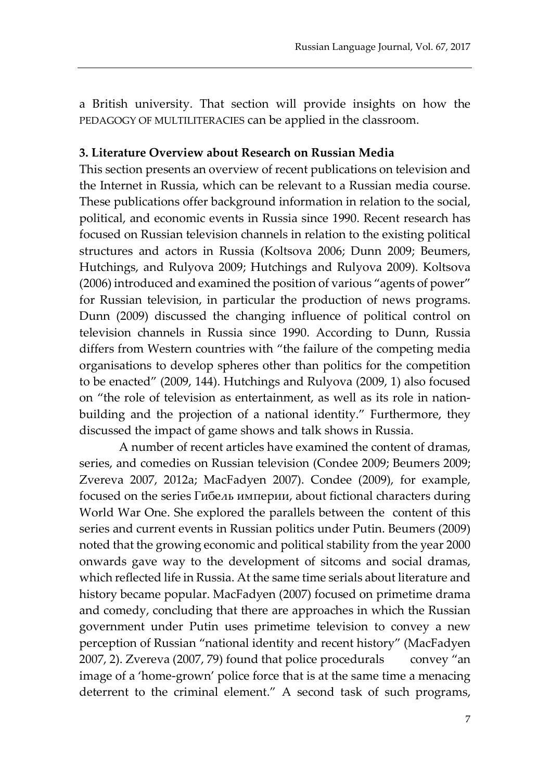a British university. That section will provide insights on how the PEDAGOGY OF MULTILITERACIES can be applied in the classroom.

#### **3. Literature Overview about Research on Russian Media**

This section presents an overview of recent publications on television and the Internet in Russia, which can be relevant to a Russian media course. These publications offer background information in relation to the social, political, and economic events in Russia since 1990. Recent research has focused on Russian television channels in relation to the existing political structures and actors in Russia (Koltsova 2006; Dunn 2009; Beumers, Hutchings, and Rulyova 2009; Hutchings and Rulyova 2009). Koltsova (2006) introduced and examined the position of various "agents of power" for Russian television, in particular the production of news programs. Dunn (2009) discussed the changing influence of political control on television channels in Russia since 1990. According to Dunn, Russia differs from Western countries with "the failure of the competing media organisations to develop spheres other than politics for the competition to be enacted" (2009, 144). Hutchings and Rulyova (2009, 1) also focused on "the role of television as entertainment, as well as its role in nationbuilding and the projection of a national identity." Furthermore, they discussed the impact of game shows and talk shows in Russia.

A number of recent articles have examined the content of dramas, series, and comedies on Russian television (Condee 2009; Beumers 2009; Zvereva 2007, 2012a; MacFadyen 2007). Condee (2009), for example, focused on the series Гибель империи, about fictional characters during World War One. She explored the parallels between the content of this series and current events in Russian politics under Putin. Beumers (2009) noted that the growing economic and political stability from the year 2000 onwards gave way to the development of sitcoms and social dramas, which reflected life in Russia. At the same time serials about literature and history became popular. MacFadyen (2007) focused on primetime drama and comedy, concluding that there are approaches in which the Russian government under Putin uses primetime television to convey a new perception of Russian "national identity and recent history" (MacFadyen 2007, 2). Zvereva (2007, 79) found that police procedurals convey "an image of a 'home-grown' police force that is at the same time a menacing deterrent to the criminal element." A second task of such programs,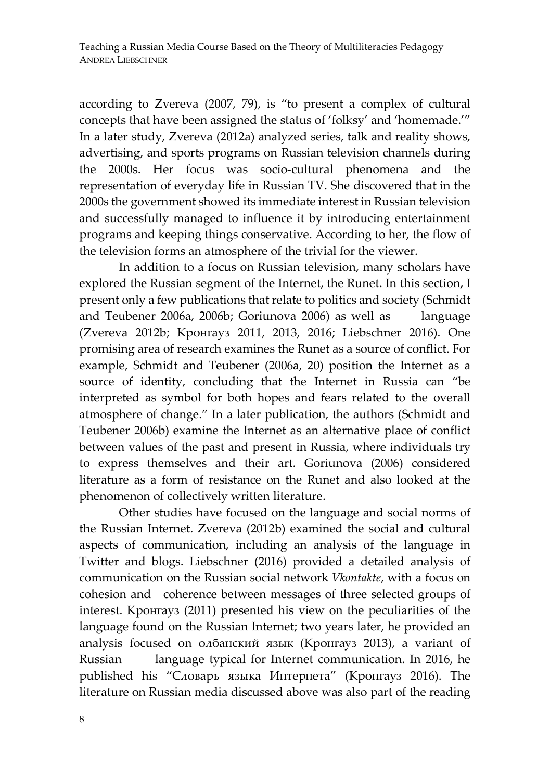according to Zvereva (2007, 79), is "to present a complex of cultural concepts that have been assigned the status of 'folksy' and 'homemade.'" In a later study, Zvereva (2012a) analyzed series, talk and reality shows, advertising, and sports programs on Russian television channels during the 2000s. Her focus was socio-cultural phenomena and the representation of everyday life in Russian TV. She discovered that in the 2000s the government showed its immediate interest in Russian television and successfully managed to influence it by introducing entertainment programs and keeping things conservative. According to her, the flow of the television forms an atmosphere of the trivial for the viewer.

In addition to a focus on Russian television, many scholars have explored the Russian segment of the Internet, the Runet. In this section, I present only a few publications that relate to politics and society (Schmidt and Teubener 2006a, 2006b; Goriunova 2006) as well as language (Zvereva 2012b; Кронгауз 2011, 2013, 2016; Liebschner 2016). One promising area of research examines the Runet as a source of conflict. For example, Schmidt and Teubener (2006a, 20) position the Internet as a source of identity, concluding that the Internet in Russia can "be interpreted as symbol for both hopes and fears related to the overall atmosphere of change." In a later publication, the authors (Schmidt and Teubener 2006b) examine the Internet as an alternative place of conflict between values of the past and present in Russia, where individuals try to express themselves and their art. Goriunova (2006) considered literature as a form of resistance on the Runet and also looked at the phenomenon of collectively written literature.

Other studies have focused on the language and social norms of the Russian Internet. Zvereva (2012b) examined the social and cultural aspects of communication, including an analysis of the language in Twitter and blogs. Liebschner (2016) provided a detailed analysis of communication on the Russian social network *Vkontakte*, with a focus on cohesion and coherence between messages of three selected groups of interest. Кронгауз (2011) presented his view on the peculiarities of the language found on the Russian Internet; two years later, he provided an analysis focused on олбанский язык (Кронгауз 2013), a variant of Russian language typical for Internet communication. In 2016, he published his "Словарь языка Интернета" (Кронгауз 2016). The literature on Russian media discussed above was also part of the reading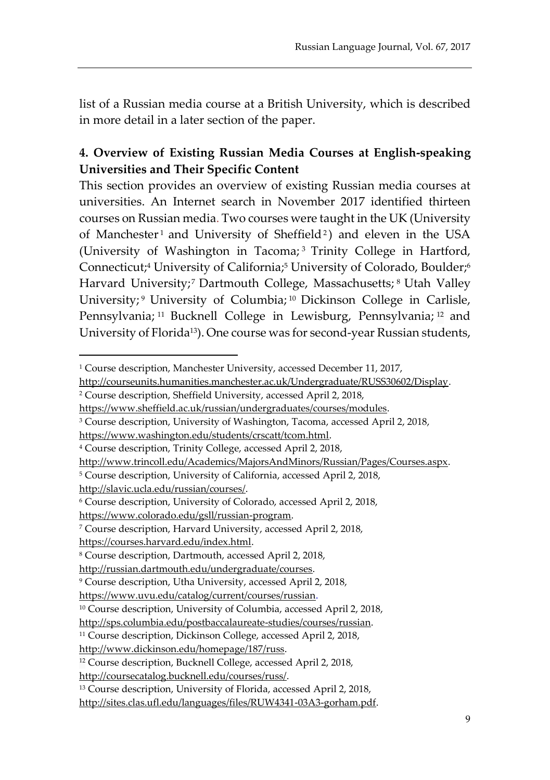list of a Russian media course at a British University, which is described in more detail in a later section of the paper.

# **4. Overview of Existing Russian Media Courses at English-speaking Universities and Their Specific Content**

This section provides an overview of existing Russian media courses at universities. An Internet search in November 2017 identified thirteen courses on Russian media. Two courses were taught in the UK (University of Manchester1 and University of Sheffield<sup>2</sup>) and eleven in the USA (University of Washington in Tacoma; <sup>3</sup> Trinity College in Hartford, Connecticut;<sup>4</sup> University of California;<sup>5</sup> University of Colorado, Boulder;<sup>6</sup> Harvard University;<sup>7</sup> Dartmouth College, Massachusetts;<sup>8</sup> Utah Valley University; <sup>9</sup> University of Columbia; <sup>10</sup> Dickinson College in Carlisle, Pennsylvania; <sup>11</sup> Bucknell College in Lewisburg, Pennsylvania; <sup>12</sup> and University of Florida13). One course was for second-year Russian students,

http://slavic.ucla.edu/russian/courses/.

 $\overline{a}$ 

https://www.colorado.edu/gsll/russian-program.

<sup>&</sup>lt;sup>1</sup> Course description, Manchester University, accessed December 11, 2017,

http://courseunits.humanities.manchester.ac.uk/Undergraduate/RUSS30602/Display.

<sup>2</sup> Course description, Sheffield University, accessed April 2, 2018,

https://www.sheffield.ac.uk/russian/undergraduates/courses/modules.

<sup>3</sup> Course description, University of Washington, Tacoma, accessed April 2, 2018,

[https://www.washington.edu/students/crscatt/tcom.html.](https://www.washington.edu/students/crscatt/tcom.html)

<sup>4</sup> Course description, Trinity College, accessed April 2, 2018,

[http://www.trincoll.edu/Academics/MajorsAndMinors/Russian/Pages/Courses.aspx.](http://www.trincoll.edu/Academics/MajorsAndMinors/Russian/Pages/Courses.aspx)

<sup>5</sup> Course description, University of California, accessed April 2, 2018,

<sup>6</sup> Course description, University of Colorado, accessed April 2, 2018,

<sup>7</sup> Course description, Harvard University, accessed April 2, 2018,

https://courses.harvard.edu/index.html.

<sup>8</sup> Course description, Dartmouth, accessed April 2, 2018,

[http://russian.dartmouth.edu/undergraduate/courses.](http://russian.dartmouth.edu/undergraduate/courses)

<sup>9</sup> Course description, Utha University, accessed April 2, 2018,

https://www.uvu.edu/catalog/current/courses/russian.

<sup>10</sup> Course description, University of Columbia, accessed April 2, 2018,

[http://sps.columbia.edu/postbaccalaureate-studies/courses/russian.](http://sps.columbia.edu/postbaccalaureate-studies/courses/russian)

<sup>11</sup> Course description, Dickinson College, accessed April 2, 2018,

[http://www.dickinson.edu/homepage/187/russ.](http://www.dickinson.edu/homepage/187/russ)

<sup>12</sup> Course description, Bucknell College, accessed April 2, 2018,

[http://coursecatalog.bucknell.edu/courses/russ/.](http://coursecatalog.bucknell.edu/courses/russ/)

<sup>13</sup> Course description, University of Florida, accessed April 2, 2018,

[http://sites.clas.ufl.edu/languages/files/RUW4341-03A3-gorham.pdf.](http://sites.clas.ufl.edu/languages/files/RUW4341-03A3-gorham.pdf)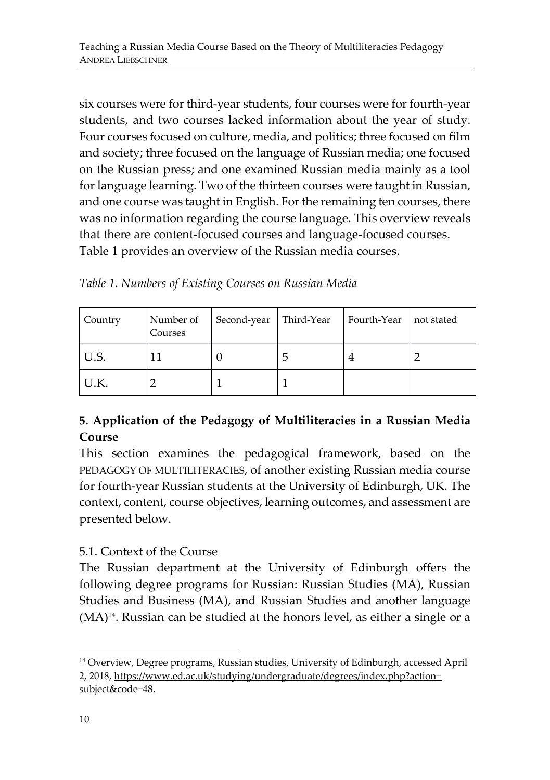six courses were for third-year students, four courses were for fourth-year students, and two courses lacked information about the year of study. Four courses focused on culture, media, and politics; three focused on film and society; three focused on the language of Russian media; one focused on the Russian press; and one examined Russian media mainly as a tool for language learning. Two of the thirteen courses were taught in Russian, and one course was taught in English. For the remaining ten courses, there was no information regarding the course language. This overview reveals that there are content-focused courses and language-focused courses. Table 1 provides an overview of the Russian media courses.

*Table 1. Numbers of Existing Courses on Russian Media*

| Country | Number of<br>Courses | Second-year   Third-Year | Fourth-Year | not stated |
|---------|----------------------|--------------------------|-------------|------------|
| IU.S.   |                      |                          |             |            |
| U.K.    |                      |                          |             |            |

# **5. Application of the Pedagogy of Multiliteracies in a Russian Media Course**

This section examines the pedagogical framework, based on the PEDAGOGY OF MULTILITERACIES, of another existing Russian media course for fourth-year Russian students at the University of Edinburgh, UK. The context, content, course objectives, learning outcomes, and assessment are presented below.

# 5.1. Context of the Course

The Russian department at the University of Edinburgh offers the following degree programs for Russian: Russian Studies (MA), Russian Studies and Business (MA), and Russian Studies and another language (MA)<sup>14</sup> . Russian can be studied at the honors level, as either a single or a

 $\overline{a}$ 

<sup>14</sup> Overview, Degree programs, Russian studies, University of Edinburgh, accessed April 2, 2018, [https://www.ed.ac.uk/studying/undergraduate/degrees/index.php?action=](https://www.ed.ac.uk/studying/undergraduate/degrees/index.php?action=%20subject&code=48) [subject&code=48.](https://www.ed.ac.uk/studying/undergraduate/degrees/index.php?action=%20subject&code=48)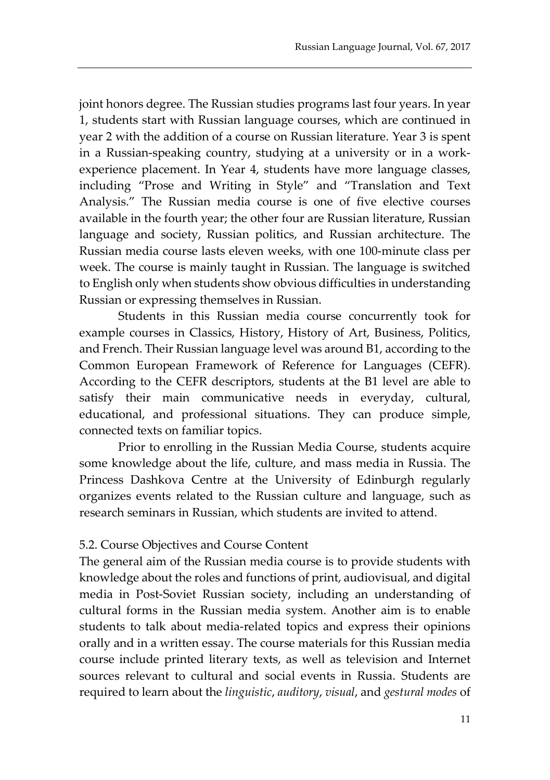joint honors degree. The Russian studies programs last four years. In year 1, students start with Russian language courses, which are continued in year 2 with the addition of a course on Russian literature. Year 3 is spent in a Russian-speaking country, studying at a university or in a workexperience placement. In Year 4, students have more language classes, including "Prose and Writing in Style" and "Translation and Text Analysis." The Russian media course is one of five elective courses available in the fourth year; the other four are Russian literature, Russian language and society, Russian politics, and Russian architecture. The Russian media course lasts eleven weeks, with one 100-minute class per week. The course is mainly taught in Russian. The language is switched to English only when students show obvious difficulties in understanding Russian or expressing themselves in Russian.

Students in this Russian media course concurrently took for example courses in Classics, History, History of Art, Business, Politics, and French. Their Russian language level was around B1, according to the Common European Framework of Reference for Languages (CEFR). According to the CEFR descriptors, students at the B1 level are able to satisfy their main communicative needs in everyday, cultural, educational, and professional situations. They can produce simple, connected texts on familiar topics.

Prior to enrolling in the Russian Media Course, students acquire some knowledge about the life, culture, and mass media in Russia. The Princess Dashkova Centre at the University of Edinburgh regularly organizes events related to the Russian culture and language, such as research seminars in Russian, which students are invited to attend.

#### 5.2. Course Objectives and Course Content

The general aim of the Russian media course is to provide students with knowledge about the roles and functions of print, audiovisual, and digital media in Post-Soviet Russian society, including an understanding of cultural forms in the Russian media system. Another aim is to enable students to talk about media-related topics and express their opinions orally and in a written essay. The course materials for this Russian media course include printed literary texts, as well as television and Internet sources relevant to cultural and social events in Russia. Students are required to learn about the *linguistic*, *auditory*, *visual*, and *gestural modes* of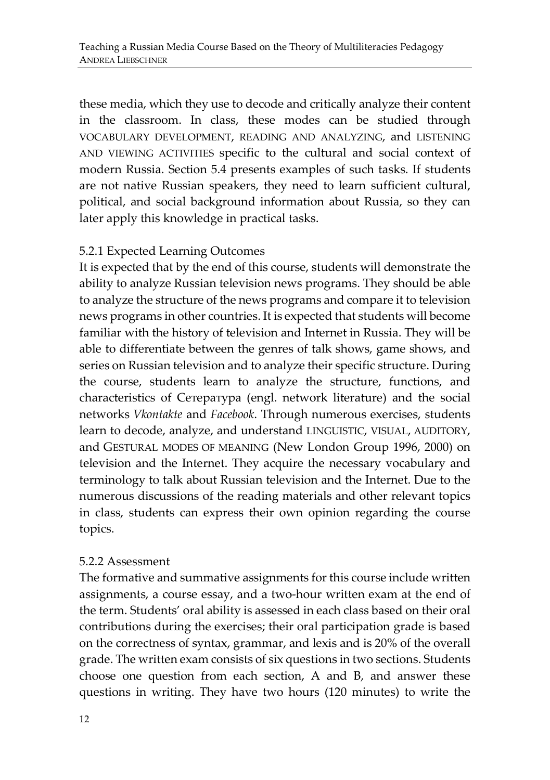these media, which they use to decode and critically analyze their content in the classroom. In class, these modes can be studied through VOCABULARY DEVELOPMENT, READING AND ANALYZING, and LISTENING AND VIEWING ACTIVITIES specific to the cultural and social context of modern Russia. Section 5.4 presents examples of such tasks. If students are not native Russian speakers, they need to learn sufficient cultural, political, and social background information about Russia, so they can later apply this knowledge in practical tasks.

### 5.2.1 Expected Learning Outcomes

It is expected that by the end of this course, students will demonstrate the ability to analyze Russian television news programs. They should be able to analyze the structure of the news programs and compare it to television news programs in other countries. It is expected that students will become familiar with the history of television and Internet in Russia. They will be able to differentiate between the genres of talk shows, game shows, and series on Russian television and to analyze their specific structure. During the course, students learn to analyze the structure, functions, and characteristics of Сетература (engl. network literature) and the social networks *Vkontakte* and *Facebook*. Through numerous exercises, students learn to decode, analyze, and understand LINGUISTIC, VISUAL, AUDITORY, and GESTURAL MODES OF MEANING (New London Group 1996, 2000) on television and the Internet. They acquire the necessary vocabulary and terminology to talk about Russian television and the Internet. Due to the numerous discussions of the reading materials and other relevant topics in class, students can express their own opinion regarding the course topics.

#### 5.2.2 Assessment

The formative and summative assignments for this course include written assignments, a course essay, and a two-hour written exam at the end of the term. Students' oral ability is assessed in each class based on their oral contributions during the exercises; their oral participation grade is based on the correctness of syntax, grammar, and lexis and is 20% of the overall grade. The written exam consists of six questions in two sections. Students choose one question from each section, A and B, and answer these questions in writing. They have two hours (120 minutes) to write the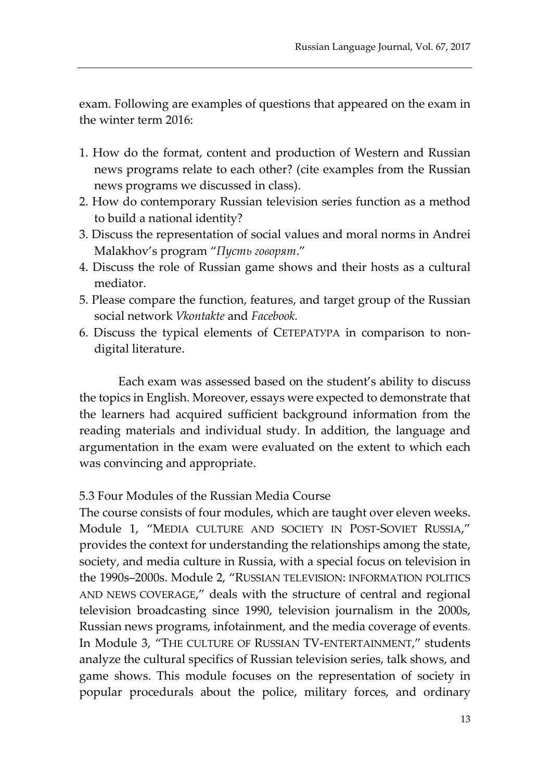exam. Following are examples of questions that appeared on the exam in the winter term 2016:

- 1. How do the format, content and production of Western and Russian news programs relate to each other? (cite examples from the Russian news programs we discussed in class).
- 2. How do contemporary Russian television series function as a method to build a national identity?
- 3. Discuss the representation of social values and moral norms in Andrei Malakhov's program "*Пусть говорят*."
- 4. Discuss the role of Russian game shows and their hosts as a cultural mediator.
- 5. Please compare the function, features, and target group of the Russian social network *Vkontakte* and *Facebook.*
- 6. Discuss the typical elements of СЕТЕРАТУРА in comparison to nondigital literature.

Each exam was assessed based on the student's ability to discuss the topics in English. Moreover, essays were expected to demonstrate that the learners had acquired sufficient background information from the reading materials and individual study. In addition, the language and argumentation in the exam were evaluated on the extent to which each was convincing and appropriate.

#### 5.3 Four Modules of the Russian Media Course

The course consists of four modules, which are taught over eleven weeks. Module 1, "MEDIA CULTURE AND SOCIETY IN POST-SOVIET RUSSIA," provides the context for understanding the relationships among the state, society, and media culture in Russia, with a special focus on television in the 1990s–2000s. Module 2, "RUSSIAN TELEVISION: INFORMATION POLITICS AND NEWS COVERAGE," deals with the structure of central and regional television broadcasting since 1990, television journalism in the 2000s, Russian news programs, infotainment, and the media coverage of events. In Module 3, "THE CULTURE OF RUSSIAN TV-ENTERTAINMENT," students analyze the cultural specifics of Russian television series, talk shows, and game shows. This module focuses on the representation of society in popular procedurals about the police, military forces, and ordinary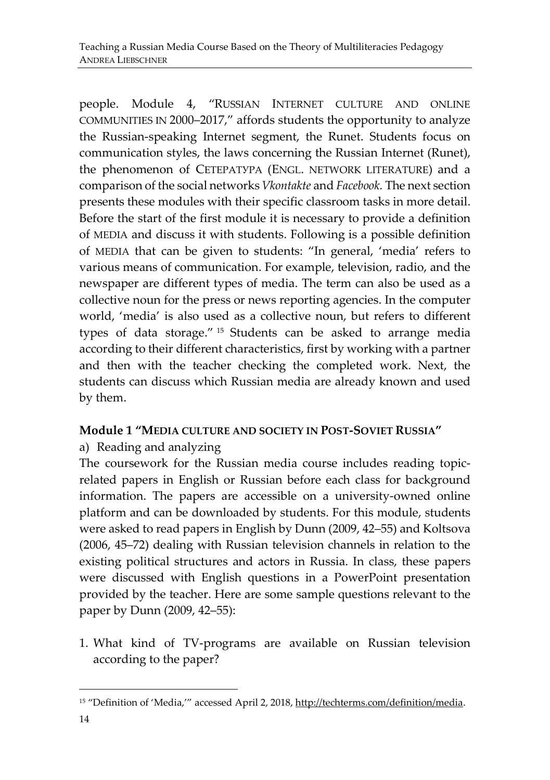people. Module 4, "RUSSIAN INTERNET CULTURE AND ONLINE COMMUNITIES IN 2000–2017," affords students the opportunity to analyze the Russian-speaking Internet segment, the Runet. Students focus on communication styles, the laws concerning the Russian Internet (Runet), the phenomenon of СЕТЕРАТУРА (ENGL. NETWORK LITERATURE) and a comparison of the social networks *Vkontakte* and *Facebook.* The next section presents these modules with their specific classroom tasks in more detail. Before the start of the first module it is necessary to provide a definition of MEDIA and discuss it with students. Following is a possible definition of MEDIA that can be given to students: "In general, 'media' refers to various means of communication. For example, television, radio, and the newspaper are different types of media. The term can also be used as a collective noun for the press or news reporting agencies. In the computer world, 'media' is also used as a collective noun, but refers to different types of data storage." <sup>15</sup> Students can be asked to arrange media according to their different characteristics, first by working with a partner and then with the teacher checking the completed work. Next, the students can discuss which Russian media are already known and used by them.

# **Module 1 "MEDIA CULTURE AND SOCIETY IN POST-SOVIET RUSSIA"**

# a) Reading and analyzing

The coursework for the Russian media course includes reading topicrelated papers in English or Russian before each class for background information. The papers are accessible on a university-owned online platform and can be downloaded by students. For this module, students were asked to read papers in English by Dunn (2009, 42–55) and Koltsova (2006, 45–72) dealing with Russian television channels in relation to the existing political structures and actors in Russia. In class, these papers were discussed with English questions in a PowerPoint presentation provided by the teacher. Here are some sample questions relevant to the paper by Dunn (2009, 42–55):

1. What kind of TV-programs are available on Russian television according to the paper?

 $\overline{a}$ 

<sup>15</sup> "Definition of 'Media,'" accessed April 2, 2018, [http://techterms.com/definition/media.](http://techterms.com/definition/media)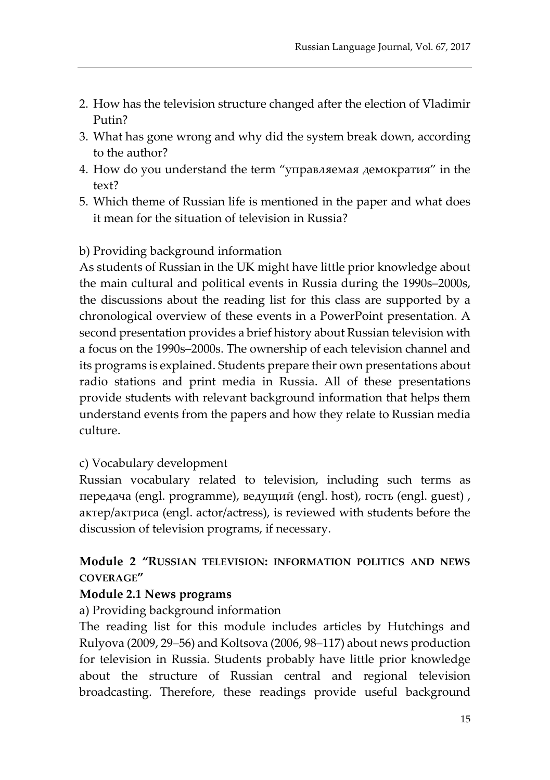- 2. How has the television structure changed after the election of Vladimir Putin?
- 3. What has gone wrong and why did the system break down, according to the author?
- 4. How do you understand the term "управляемая демократия" in the text?
- 5. Which theme of Russian life is mentioned in the paper and what does it mean for the situation of television in Russia?

# b) Providing background information

As students of Russian in the UK might have little prior knowledge about the main cultural and political events in Russia during the 1990s–2000s, the discussions about the reading list for this class are supported by a chronological overview of these events in a PowerPoint presentation. A second presentation provides a brief history about Russian television with a focus on the 1990s–2000s. The ownership of each television channel and its programs is explained. Students prepare their own presentations about radio stations and print media in Russia. All of these presentations provide students with relevant background information that helps them understand events from the papers and how they relate to Russian media culture.

# c) Vocabulary development

Russian vocabulary related to television, including such terms as передача (engl. programme), ведущий (engl. host), гость (engl. guest) , актер/актриса (engl. actor/actress), is reviewed with students before the discussion of television programs, if necessary.

# **Module 2 "RUSSIAN TELEVISION: INFORMATION POLITICS AND NEWS COVERAGE"**

#### **Module 2.1 News programs**

a) Providing background information

The reading list for this module includes articles by Hutchings and Rulyova (2009, 29–56) and Koltsova (2006, 98–117) about news production for television in Russia. Students probably have little prior knowledge about the structure of Russian central and regional television broadcasting. Therefore, these readings provide useful background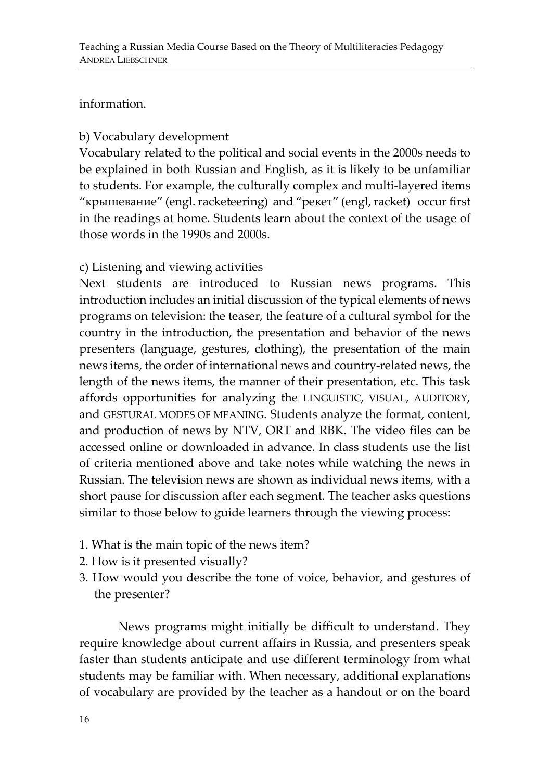#### information.

## b) Vocabulary development

Vocabulary related to the political and social events in the 2000s needs to be explained in both Russian and English, as it is likely to be unfamiliar to students. For example, the culturally complex and multi-layered items "крышевание" (engl. racketeering) and "рекет" (engl, racket) occur first in the readings at home. Students learn about the context of the usage of those words in the 1990s and 2000s.

#### c) Listening and viewing activities

Next students are introduced to Russian news programs. This introduction includes an initial discussion of the typical elements of news programs on television: the teaser, the feature of a cultural symbol for the country in the introduction, the presentation and behavior of the news presenters (language, gestures, clothing), the presentation of the main news items, the order of international news and country-related news, the length of the news items, the manner of their presentation, etc. This task affords opportunities for analyzing the LINGUISTIC, VISUAL, AUDITORY, and GESTURAL MODES OF MEANING. Students analyze the format, content, and production of news by NTV, ORT and RBK. The video files can be accessed online or downloaded in advance. In class students use the list of criteria mentioned above and take notes while watching the news in Russian. The television news are shown as individual news items, with a short pause for discussion after each segment. The teacher asks questions similar to those below to guide learners through the viewing process:

- 1. What is the main topic of the news item?
- 2. How is it presented visually?
- 3. How would you describe the tone of voice, behavior, and gestures of the presenter?

News programs might initially be difficult to understand. They require knowledge about current affairs in Russia, and presenters speak faster than students anticipate and use different terminology from what students may be familiar with. When necessary, additional explanations of vocabulary are provided by the teacher as a handout or on the board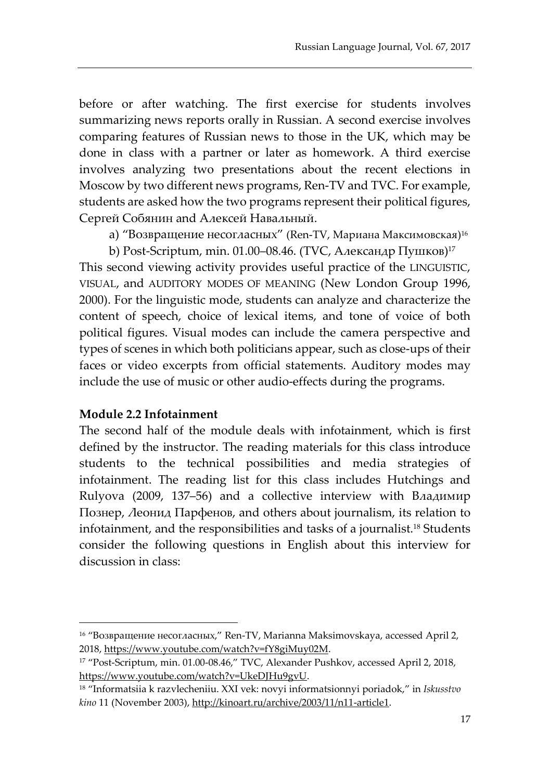before or after watching. The first exercise for students involves summarizing news reports orally in Russian. A second exercise involves comparing features of Russian news to those in the UK, which may be done in class with a partner or later as homework. A third exercise involves analyzing two presentations about the recent elections in Moscow by two different news programs, Ren-TV and TVC. For example, students are asked how the two programs represent their political figures, Сергей Собянин and Алексей Навальный.

a) "Возвращение несогласных" (Ren-TV, Мариана Максимовская)<sup>16</sup>

b) Post-Scriptum, min. 01.00–08.46. (TVC, Александр Пушков) 17 This second viewing activity provides useful practice of the LINGUISTIC, VISUAL, and AUDITORY MODES OF MEANING (New London Group 1996, 2000). For the linguistic mode, students can analyze and characterize the content of speech, choice of lexical items, and tone of voice of both political figures. Visual modes can include the camera perspective and types of scenes in which both politicians appear, such as close-ups of their faces or video excerpts from official statements. Auditory modes may include the use of music or other audio-effects during the programs.

#### **Module 2.2 Infotainment**

 $\overline{a}$ 

The second half of the module deals with infotainment, which is first defined by the instructor. The reading materials for this class introduce students to the technical possibilities and media strategies of infotainment. The reading list for this class includes Hutchings and Rulyova (2009, 137–56) and a collective interview with Владимир Познер, Леонид Парфенов, and others about journalism, its relation to infotainment, and the responsibilities and tasks of a journalist.<sup>18</sup> Students consider the following questions in English about this interview for discussion in class:

<sup>&</sup>lt;sup>16</sup> "Возвращение несогласных," Ren-TV, Marianna Maksimovskaya, accessed April 2, 2018, [https://www.youtube.com/watch?v=fY8giMuy02M.](https://www.youtube.com/watch?v=fY8giMuy02M)

<sup>17</sup> "Post-Scriptum, min. 01.00-08.46," TVC, Alexander Pushkov, accessed April 2, 2018, [https://www.youtube.com/watch?v=UkeDJHu9gvU.](https://www.youtube.com/watch?v=UkeDJHu9gvU)

<sup>18</sup> "Informatsiia k razvlecheniiu. XXI vek: novyi informatsionnyi poriadok," in *Iskusstvo kino* 11 (November 2003), <http://kinoart.ru/archive/2003/11/n11-article1>.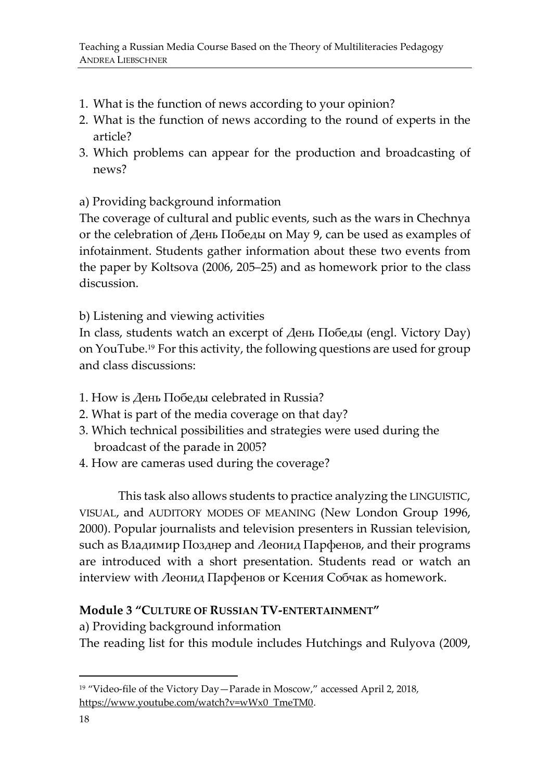- 1. What is the function of news according to your opinion?
- 2. What is the function of news according to the round of experts in the article?
- 3. Which problems can appear for the production and broadcasting of news?

a) Providing background information

The coverage of cultural and public events, such as the wars in Chechnya or the celebration of День Победы on May 9, can be used as examples of infotainment. Students gather information about these two events from the paper by Koltsova (2006, 205–25) and as homework prior to the class discussion.

b) Listening and viewing activities

In class, students watch an excerpt of День Победы (engl. Victory Day) on YouTube.<sup>19</sup> For this activity, the following questions are used for group and class discussions:

- 1. How is День Победы celebrated in Russia?
- 2. What is part of the media coverage on that day?
- 3. Which technical possibilities and strategies were used during the broadcast of the parade in 2005?
- 4. How are cameras used during the coverage?

This task also allows students to practice analyzing the LINGUISTIC, VISUAL, and AUDITORY MODES OF MEANING (New London Group 1996, 2000). Popular journalists and television presenters in Russian television, such as Владимир Позднер and Леонид Парфенов, and their programs are introduced with a short presentation. Students read or watch an interview with Леонид Парфенов or Ксения Собчак as homework.

# **Module 3 "CULTURE OF RUSSIAN TV-ENTERTAINMENT"**

a) Providing background information

The reading list for this module includes Hutchings and Rulyova (2009,

 $\overline{a}$ 

<sup>19</sup> "Video-file of the Victory Day—Parade in Moscow," accessed April 2, 2018, [https://www.youtube.com/watch?v=wWx0\\_TmeTM0.](https://www.youtube.com/watch?v=wWx0_TmeTM0)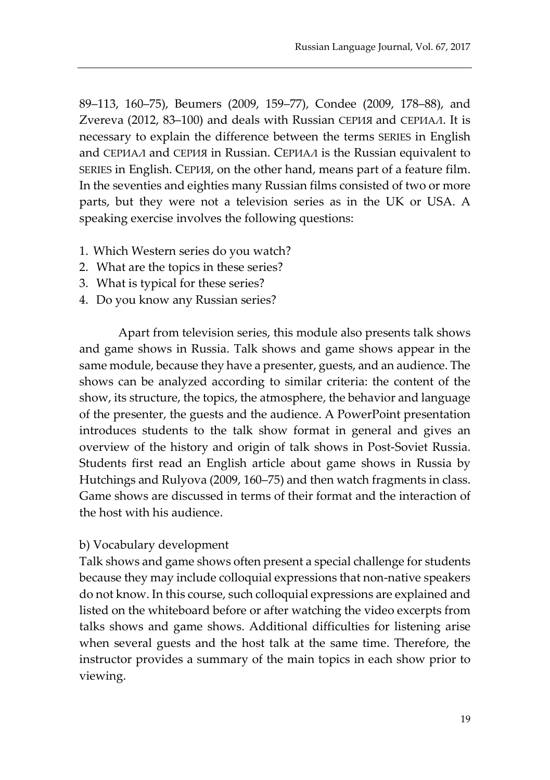89–113, 160–75), Beumers (2009, 159–77), Condee (2009, 178–88), and Zvereva (2012, 83–100) and deals with Russian СЕРИЯ and СЕРИАЛ. It is necessary to explain the difference between the terms SERIES in English and СЕРИАЛ and СЕРИЯ in Russian. СЕРИАЛ is the Russian equivalent to SERIES in English. CЕРИЯ, on the other hand, means part of a feature film. In the seventies and eighties many Russian films consisted of two or more parts, but they were not a television series as in the UK or USA. A speaking exercise involves the following questions:

- 1. Which Western series do you watch?
- 2. What are the topics in these series?
- 3. What is typical for these series?
- 4. Do you know any Russian series?

Apart from television series, this module also presents talk shows and game shows in Russia. Talk shows and game shows appear in the same module, because they have a presenter, guests, and an audience. The shows can be analyzed according to similar criteria: the content of the show, its structure, the topics, the atmosphere, the behavior and language of the presenter, the guests and the audience. A PowerPoint presentation introduces students to the talk show format in general and gives an overview of the history and origin of talk shows in Post-Soviet Russia. Students first read an English article about game shows in Russia by Hutchings and Rulyova (2009, 160–75) and then watch fragments in class. Game shows are discussed in terms of their format and the interaction of the host with his audience.

#### b) Vocabulary development

Talk shows and game shows often present a special challenge for students because they may include colloquial expressions that non-native speakers do not know. In this course, such colloquial expressions are explained and listed on the whiteboard before or after watching the video excerpts from talks shows and game shows. Additional difficulties for listening arise when several guests and the host talk at the same time. Therefore, the instructor provides a summary of the main topics in each show prior to viewing.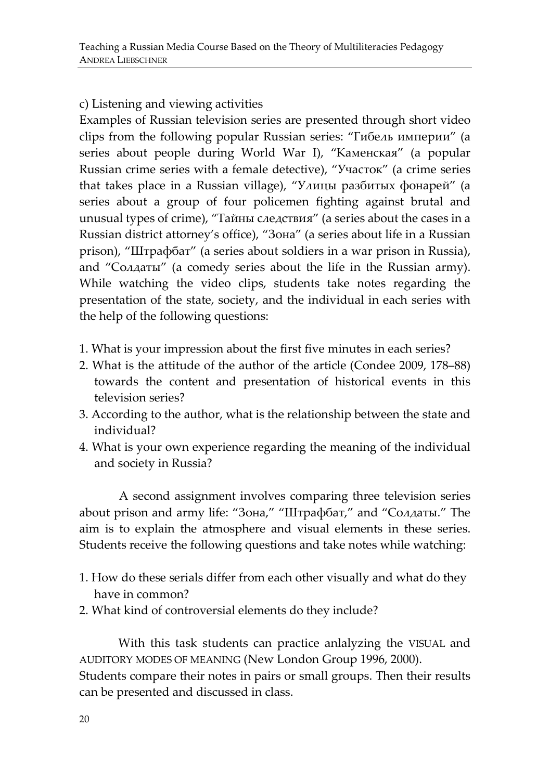# c) Listening and viewing activities

Examples of Russian television series are presented through short video clips from the following popular Russian series: "Гибель империи" (a series about people during World War I), "Каменская" (a popular Russian crime series with a female detective), "Участок" (a crime series that takes place in a Russian village), "Улицы разбитых фонарей" (a series about a group of four policemen fighting against brutal and unusual types of crime), "Тайны следствия" (a series about the cases in a Russian district attorney's office), "Зона" (a series about life in a Russian prison), "Штрафбат" (a series about soldiers in a war prison in Russia), and "Солдаты" (a comedy series about the life in the Russian army). While watching the video clips, students take notes regarding the presentation of the state, society, and the individual in each series with the help of the following questions:

- 1. What is your impression about the first five minutes in each series?
- 2. What is the attitude of the author of the article (Condee 2009, 178–88) towards the content and presentation of historical events in this television series?
- 3. According to the author, what is the relationship between the state and individual?
- 4. What is your own experience regarding the meaning of the individual and society in Russia?

A second assignment involves comparing three television series about prison and army life: "Зона," "Штрафбат," and "Солдаты." The aim is to explain the atmosphere and visual elements in these series. Students receive the following questions and take notes while watching:

- 1. How do these serials differ from each other visually and what do they have in common?
- 2. What kind of controversial elements do they include?

With this task students can practice anlalyzing the VISUAL and AUDITORY MODES OF MEANING (New London Group 1996, 2000). Students compare their notes in pairs or small groups. Then their results can be presented and discussed in class.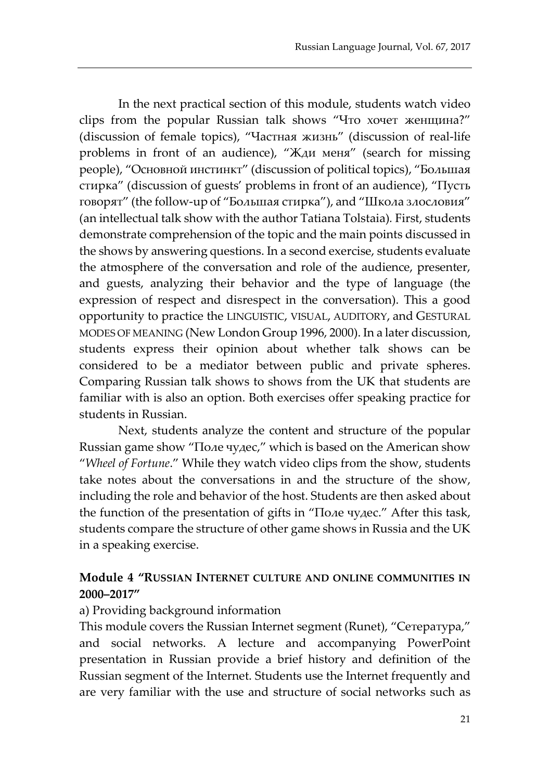In the next practical section of this module, students watch video clips from the popular Russian talk shows "Что хочет женщина?" (discussion of female topics), "Частная жизнь" (discussion of real-life problems in front of an audience), "Жди меня" (search for missing people), "Основной инстинкт" (discussion of political topics), "Большая стирка" (discussion of guests' problems in front of an audience), "Пусть говорят" (the follow-up of "Большая стирка"), and "Школа злословия" (an intellectual talk show with the author Tatiana Tolstaia)*.* First, students demonstrate comprehension of the topic and the main points discussed in the shows by answering questions. In a second exercise, students evaluate the atmosphere of the conversation and role of the audience, presenter, and guests, analyzing their behavior and the type of language (the expression of respect and disrespect in the conversation). This a good opportunity to practice the LINGUISTIC, VISUAL, AUDITORY, and GESTURAL MODES OF MEANING (New London Group 1996, 2000). In a later discussion, students express their opinion about whether talk shows can be considered to be a mediator between public and private spheres. Comparing Russian talk shows to shows from the UK that students are familiar with is also an option. Both exercises offer speaking practice for students in Russian.

Next, students analyze the content and structure of the popular Russian game show "Поле чудес," which is based on the American show "*Wheel of Fortune*." While they watch video clips from the show, students take notes about the conversations in and the structure of the show, including the role and behavior of the host. Students are then asked about the function of the presentation of gifts in "Поле чудес." After this task, students compare the structure of other game shows in Russia and the UK in a speaking exercise.

#### **Module 4 "RUSSIAN INTERNET CULTURE AND ONLINE COMMUNITIES IN 2000–2017"**

#### a) Providing background information

This module covers the Russian Internet segment (Runet), "Сетература," and social networks. A lecture and accompanying PowerPoint presentation in Russian provide a brief history and definition of the Russian segment of the Internet. Students use the Internet frequently and are very familiar with the use and structure of social networks such as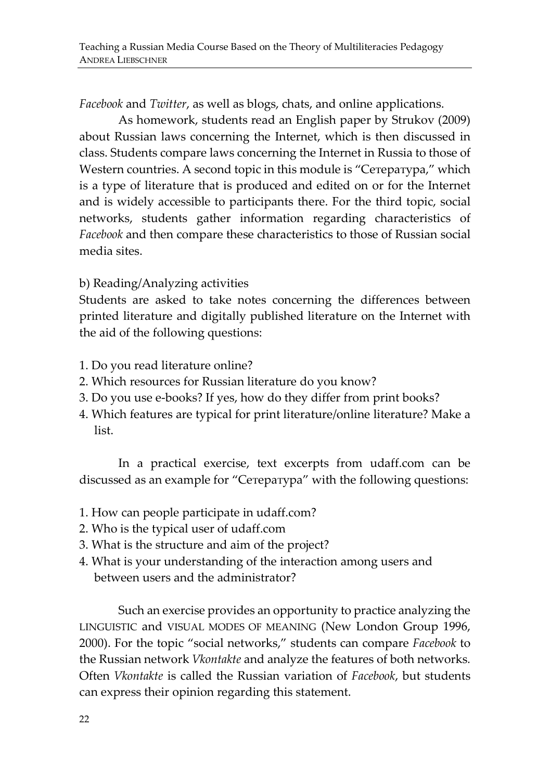*Facebook* and *Twitter*, as well as blogs, chats, and online applications.

As homework, students read an English paper by Strukov (2009) about Russian laws concerning the Internet, which is then discussed in class. Students compare laws concerning the Internet in Russia to those of Western countries. A second topic in this module is "Сетература," which is a type of literature that is produced and edited on or for the Internet and is widely accessible to participants there. For the third topic, social networks, students gather information regarding characteristics of *Facebook* and then compare these characteristics to those of Russian social media sites.

b) Reading/Analyzing activities

Students are asked to take notes concerning the differences between printed literature and digitally published literature on the Internet with the aid of the following questions:

- 1. Do you read literature online?
- 2. Which resources for Russian literature do you know?
- 3. Do you use e-books? If yes, how do they differ from print books?
- 4. Which features are typical for print literature/online literature? Make a list.

In a practical exercise, text excerpts from udaff.com can be discussed as an example for "Сетература" with the following questions:

- 1. How can people participate in udaff.com?
- 2. Who is the typical user of udaff.com
- 3. What is the structure and aim of the project?
- 4. What is your understanding of the interaction among users and between users and the administrator?

Such an exercise provides an opportunity to practice analyzing the LINGUISTIC and VISUAL MODES OF MEANING (New London Group 1996, 2000). For the topic "social networks," students can compare *Facebook* to the Russian network *Vkontakte* and analyze the features of both networks*.* Often *Vkontakte* is called the Russian variation of *Facebook*, but students can express their opinion regarding this statement.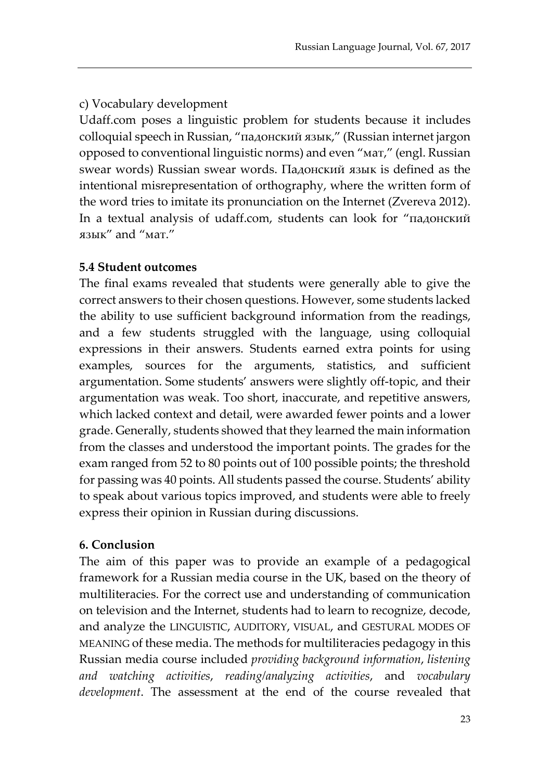# c) Vocabulary development

Udaff.com poses a linguistic problem for students because it includes colloquial speech in Russian, "падонский язык," (Russian internet jargon opposed to conventional linguistic norms) and even "мат," (engl. Russian swear words) Russian swear words. Падонский язык is defined as the intentional misrepresentation of orthography, where the written form of the word tries to imitate its pronunciation on the Internet (Zvereva 2012). In a textual analysis of udaff.com, students can look for "падонский язык" and "мат."

# **5.4 Student outcomes**

The final exams revealed that students were generally able to give the correct answers to their chosen questions. However, some students lacked the ability to use sufficient background information from the readings, and a few students struggled with the language, using colloquial expressions in their answers. Students earned extra points for using examples, sources for the arguments, statistics, and sufficient argumentation. Some students' answers were slightly off-topic, and their argumentation was weak. Too short, inaccurate, and repetitive answers, which lacked context and detail, were awarded fewer points and a lower grade. Generally, students showed that they learned the main information from the classes and understood the important points. The grades for the exam ranged from 52 to 80 points out of 100 possible points; the threshold for passing was 40 points. All students passed the course. Students' ability to speak about various topics improved, and students were able to freely express their opinion in Russian during discussions.

# **6. Conclusion**

The aim of this paper was to provide an example of a pedagogical framework for a Russian media course in the UK, based on the theory of multiliteracies. For the correct use and understanding of communication on television and the Internet, students had to learn to recognize, decode, and analyze the LINGUISTIC, AUDITORY, VISUAL, and GESTURAL MODES OF MEANING of these media. The methods for multiliteracies pedagogy in this Russian media course included *providing background information*, *listening and watching activities*, *reading/analyzing activities*, and *vocabulary development*. The assessment at the end of the course revealed that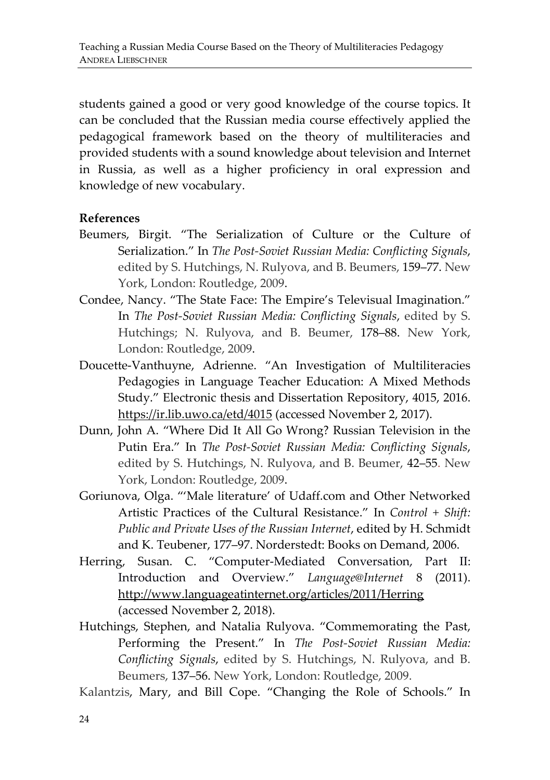students gained a good or very good knowledge of the course topics. It can be concluded that the Russian media course effectively applied the pedagogical framework based on the theory of multiliteracies and provided students with a sound knowledge about television and Internet in Russia, as well as a higher proficiency in oral expression and knowledge of new vocabulary.

#### **References**

- Beumers, Birgit. "The Serialization of Culture or the Culture of Serialization." In *The Post-Soviet Russian Media: Conflicting Signals*, edited by S. Hutchings, N. Rulyova, and B. Beumers, 159–77. New York, London: Routledge, 2009.
- Condee, Nancy. "The State Face: The Empire's Televisual Imagination." In *The Post-Soviet Russian Media: Conflicting Signals*, edited by S. Hutchings; N. Rulyova, and B. Beumer, 178–88. New York, London: Routledge, 2009.
- Doucette-Vanthuyne, Adrienne. "An Investigation of Multiliteracies Pedagogies in Language Teacher Education: A Mixed Methods Study." Electronic thesis and Dissertation Repository, 4015, 2016. https://ir.lib.uwo.ca/etd/4015 (accessed November 2, 2017).
- Dunn, John A. "Where Did It All Go Wrong? Russian Television in the Putin Era." In *The Post-Soviet Russian Media: Conflicting Signals*, edited by S. Hutchings, N. Rulyova, and B. Beumer, 42–55. New York, London: Routledge, 2009.
- Goriunova, Olga. "'Male literature' of Udaff.com and Other Networked Artistic Practices of the Cultural Resistance." In *Control + Shift: Public and Private Uses of the Russian Internet*, edited by H. Schmidt and K. Teubener, 177–97. Norderstedt: Books on Demand, 2006.
- Herring, Susan. C. "Computer-Mediated Conversation, Part II: Introduction and Overview." *Language@Internet* 8 (2011). http://www.languageatinternet.org/articles/2011/Herring (accessed November 2, 2018).
- Hutchings, Stephen, and Natalia Rulyova. "Commemorating the Past, Performing the Present." In *The Post-Soviet Russian Media: Conflicting Signals*, edited by S. Hutchings, N. Rulyova, and B. Beumers, 137–56. New York, London: Routledge, 2009.

Kalantzis, Mary, and Bill Cope. "Changing the Role of Schools." In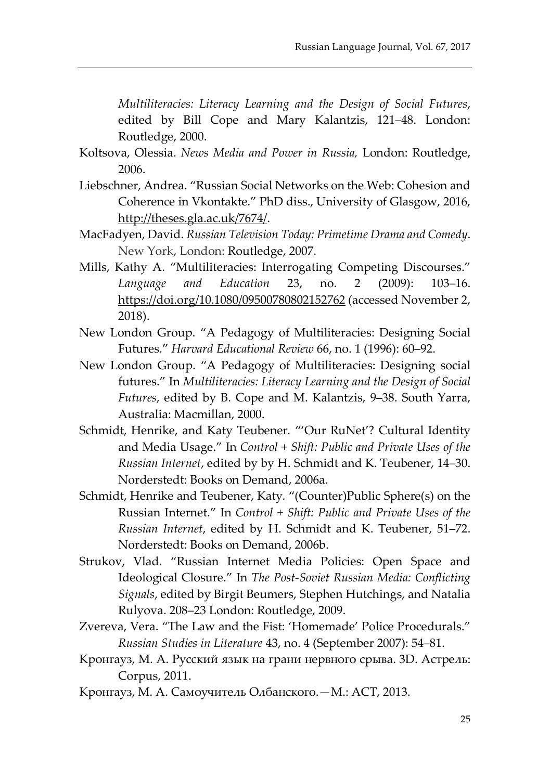*Multiliteracies: Literacy Learning and the Design of Social Futures*, edited by Bill Cope and Mary Kalantzis, 121–48. London: Routledge, 2000.

- Koltsova, Olessia. *News Media and Power in Russia,* London: Routledge, 2006.
- Liebschner, Andrea. "Russian Social Networks on the Web: Cohesion and Coherence in Vkontakte." PhD diss., University of Glasgow, 2016, http://theses.gla.ac.uk/7674/.
- MacFadyen, David. *Russian Television Today: Primetime Drama and Comedy*. New York, London: Routledge, 2007.
- Mills, Kathy A. "Multiliteracies: Interrogating Competing Discourses." *Language and Education* 23, no. 2 (2009): 103–16. https://doi.org/10.1080/09500780802152762 (accessed November 2, 2018).
- New London Group. "A Pedagogy of Multiliteracies: Designing Social Futures." *Harvard Educational Review* 66, no. 1 (1996): 60–92.
- New London Group. "A Pedagogy of Multiliteracies: Designing social futures." In *Multiliteracies: Literacy Learning and the Design of Social Futures*, edited by B. Cope and M. Kalantzis, 9–38. South Yarra, Australia: Macmillan, 2000.
- Schmidt, Henrike, and Katy Teubener*.* "'Our RuNet'? Cultural Identity and Media Usage." In *Control + Shift: Public and Private Uses of the Russian Internet*, edited by by H. Schmidt and K. Teubener, 14–30. Norderstedt: Books on Demand, 2006a.
- Schmidt, Henrike and Teubener, Katy*.* "(Counter)Public Sphere(s) on the Russian Internet." In *Control + Shift: Public and Private Uses of the Russian Internet*, edited by H. Schmidt and K. Teubener, 51–72. Norderstedt: Books on Demand, 2006b.
- Strukov, Vlad. "Russian Internet Media Policies: Open Space and Ideological Closure." In *The Post-Soviet Russian Media: Conflicting Signals*, edited by Birgit Beumers, Stephen Hutchings, and Natalia Rulyova. 208–23 London: Routledge, 2009.
- Zvereva, Vera. "The Law and the Fist: 'Homemade' Police Procedurals." *Russian Studies in Literature* 43, no. 4 (September 2007): 54–81.
- Кронгауз, М. А. Русский язык на грани нервного срыва. 3D. Астрель: Corpus, 2011.
- Кронгауз, М. А. Самоучитель Олбанского.—М.: АСТ, 2013.